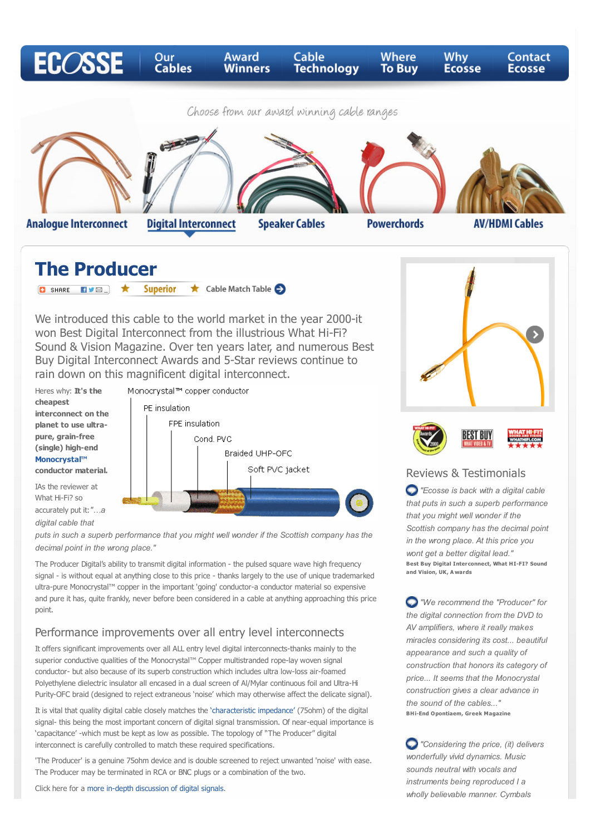

IAs the reviewer at What Hi-Fi? so accurately put it:*"…a digital cable that*





*puts in such a superb performance that you might well wonder if the Scottish company has the decimal point in the wrong place."*

The Producer Digital's ability to transmit digital information - the pulsed square wave high frequency signal - is without equal at anything close to this price - thanks largely to the use of unique trademarked ultra-pure Monocrystal™ copper in the important 'going' conductor-a conductor material so expensive and pure it has, quite frankly, never before been considered in a cable at anything approaching this price point.

#### Performance improvements over all entry level interconnects

It offers significant improvements over all ALL entry level digital interconnects-thanks mainly to the superior conductive qualities of the Monocrystal™ Copper multistranded rope-lay woven signal conductor- but also because of its superb construction which includes ultra low-loss air-foamed Polyethylene dielectric insulator all encased in a dual screen of Al/Mylar continuous foil and Ultra-Hi Purity-OFC braid (designed to reject extraneous 'noise' which may otherwise affect the delicate signal).

It is vital that quality digital cable closely matches the ['characteristic impedance'](http://www.ecossecables.co.uk/cable-technology.html#mark10) (75ohm) of the digital signal- this being the most important concern of digital signal transmission. Of near-equal importance is 'capacitance' -which must be kept as low as possible. The topology of ''The Producer" digital interconnect is carefully controlled to match these required specifications.

'The Producer' is a genuine 75ohm device and is double screened to reject unwanted 'noise' with ease. The Producer may be terminated in RCA or BNC plugs or a combination of the two.

Click here for a [more in-depth discussion of digital signals](http://www.ecossecables.co.uk/cable-technology.html#mark9).

*that puts in such a superb performance Scottish company has the decimal point in the wrong place. At this price you wont get a better digital lead."* **Best Buy Digital Interconnect, What HI-FI? Sound and Vision, UK, A wards**

*"We recommend the "Producer" for the digital connection from the DVD to AV amplifiers, where it really makes miracles considering its cost... beautiful appearance and such a quality of construction that honors its category of price... It seems that the Monocrystal construction gives a clear advance in the sound of the cables..."*  **BHi-End Opontiaem, Greek Magazine**

 *"Considering the price, (it) delivers wonderfully vivid dynamics. Music sounds neutral with vocals and instruments being reproduced I a wholly believable manner. Cymbals*